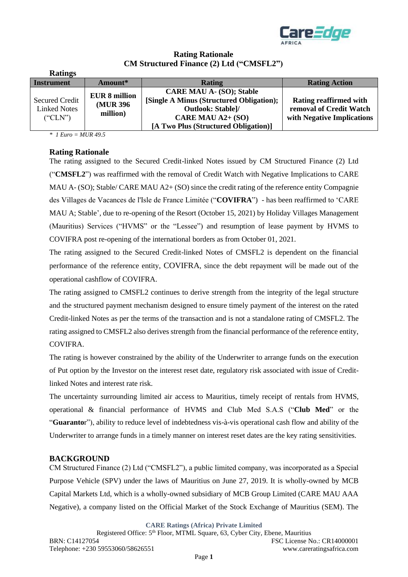

# **Rating Rationale CM Structured Finance (2) Ltd ("CMSFL2")**

| <b>Ratings</b>                                          |                                               |                                                                                                                                                                      |                                                                                        |
|---------------------------------------------------------|-----------------------------------------------|----------------------------------------------------------------------------------------------------------------------------------------------------------------------|----------------------------------------------------------------------------------------|
| <b>Instrument</b>                                       | Amount*                                       | <b>Rating</b>                                                                                                                                                        | <b>Rating Action</b>                                                                   |
| <b>Secured Credit</b><br><b>Linked Notes</b><br>("CLN") | <b>EUR 8 million</b><br>(MUR 396)<br>million) | <b>CARE MAU A- (SO); Stable</b><br>[Single A Minus (Structured Obligation);<br><b>Outlook: Stable]/</b><br>CARE MAU A2+ (SO)<br>[A Two Plus (Structured Obligation)] | <b>Rating reaffirmed with</b><br>removal of Credit Watch<br>with Negative Implications |

*\* 1 Euro = MUR 49.5*

# **Rating Rationale**

The rating assigned to the Secured Credit-linked Notes issued by CM Structured Finance (2) Ltd ("**CMSFL2**") was reaffirmed with the removal of Credit Watch with Negative Implications to CARE MAU A- (SO); Stable/ CARE MAU A2+ (SO) since the credit rating of the reference entity Compagnie des Villages de Vacances de l'Isle de France Limitée ("**COVIFRA**") - has been reaffirmed to 'CARE MAU A; Stable', due to re-opening of the Resort (October 15, 2021) by Holiday Villages Management (Mauritius) Services ("HVMS" or the "Lessee") and resumption of lease payment by HVMS to COVIFRA post re-opening of the international borders as from October 01, 2021.

The rating assigned to the Secured Credit-linked Notes of CMSFL2 is dependent on the financial performance of the reference entity, COVIFRA, since the debt repayment will be made out of the operational cashflow of COVIFRA.

The rating assigned to CMSFL2 continues to derive strength from the integrity of the legal structure and the structured payment mechanism designed to ensure timely payment of the interest on the rated Credit-linked Notes as per the terms of the transaction and is not a standalone rating of CMSFL2. The rating assigned to CMSFL2 also derives strength from the financial performance of the reference entity, COVIFRA.

The rating is however constrained by the ability of the Underwriter to arrange funds on the execution of Put option by the Investor on the interest reset date, regulatory risk associated with issue of Creditlinked Notes and interest rate risk.

The uncertainty surrounding limited air access to Mauritius, timely receipt of rentals from HVMS, operational & financial performance of HVMS and Club Med S.A.S ("**Club Med**" or the "**Guaranto**r"), ability to reduce level of indebtedness vis-à-vis operational cash flow and ability of the Underwriter to arrange funds in a timely manner on interest reset dates are the key rating sensitivities.

### **BACKGROUND**

CM Structured Finance (2) Ltd ("CMSFL2"), a public limited company, was incorporated as a Special Purpose Vehicle (SPV) under the laws of Mauritius on June 27, 2019. It is wholly-owned by MCB Capital Markets Ltd, which is a wholly-owned subsidiary of MCB Group Limited (CARE MAU AAA Negative), a company listed on the Official Market of the Stock Exchange of Mauritius (SEM). The

**CARE Ratings (Africa) Private Limited**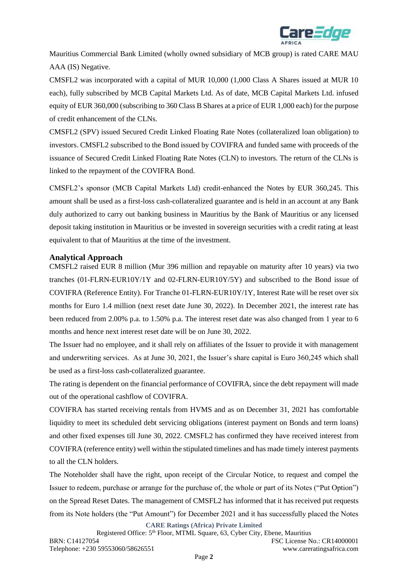

Mauritius Commercial Bank Limited (wholly owned subsidiary of MCB group) is rated CARE MAU AAA (IS) Negative.

CMSFL2 was incorporated with a capital of MUR 10,000 (1,000 Class A Shares issued at MUR 10 each), fully subscribed by MCB Capital Markets Ltd. As of date, MCB Capital Markets Ltd. infused equity of EUR 360,000 (subscribing to 360 Class B Shares at a price of EUR 1,000 each) for the purpose of credit enhancement of the CLNs.

CMSFL2 (SPV) issued Secured Credit Linked Floating Rate Notes (collateralized loan obligation) to investors. CMSFL2 subscribed to the Bond issued by COVIFRA and funded same with proceeds of the issuance of Secured Credit Linked Floating Rate Notes (CLN) to investors. The return of the CLNs is linked to the repayment of the COVIFRA Bond.

CMSFL2's sponsor (MCB Capital Markets Ltd) credit-enhanced the Notes by EUR 360,245. This amount shall be used as a first-loss cash-collateralized guarantee and is held in an account at any Bank duly authorized to carry out banking business in Mauritius by the Bank of Mauritius or any licensed deposit taking institution in Mauritius or be invested in sovereign securities with a credit rating at least equivalent to that of Mauritius at the time of the investment.

#### **Analytical Approach**

CMSFL2 raised EUR 8 million (Mur 396 million and repayable on maturity after 10 years) via two tranches (01-FLRN-EUR10Y/1Y and 02-FLRN-EUR10Y/5Y) and subscribed to the Bond issue of COVIFRA (Reference Entity). For Tranche 01-FLRN-EUR10Y/1Y, Interest Rate will be reset over six months for Euro 1.4 million (next reset date June 30, 2022). In December 2021, the interest rate has been reduced from 2.00% p.a. to 1.50% p.a. The interest reset date was also changed from 1 year to 6 months and hence next interest reset date will be on June 30, 2022.

The Issuer had no employee, and it shall rely on affiliates of the Issuer to provide it with management and underwriting services. As at June 30, 2021, the Issuer's share capital is Euro 360,245 which shall be used as a first-loss cash-collateralized guarantee.

The rating is dependent on the financial performance of COVIFRA, since the debt repayment will made out of the operational cashflow of COVIFRA.

COVIFRA has started receiving rentals from HVMS and as on December 31, 2021 has comfortable liquidity to meet its scheduled debt servicing obligations (interest payment on Bonds and term loans) and other fixed expenses till June 30, 2022. CMSFL2 has confirmed they have received interest from COVIFRA (reference entity) well within the stipulated timelines and has made timely interest payments to all the CLN holders.

The Noteholder shall have the right, upon receipt of the Circular Notice, to request and compel the Issuer to redeem, purchase or arrange for the purchase of, the whole or part of its Notes ("Put Option") on the Spread Reset Dates. The management of CMSFL2 has informed that it has received put requests from its Note holders (the "Put Amount") for December 2021 and it has successfully placed the Notes

**CARE Ratings (Africa) Private Limited**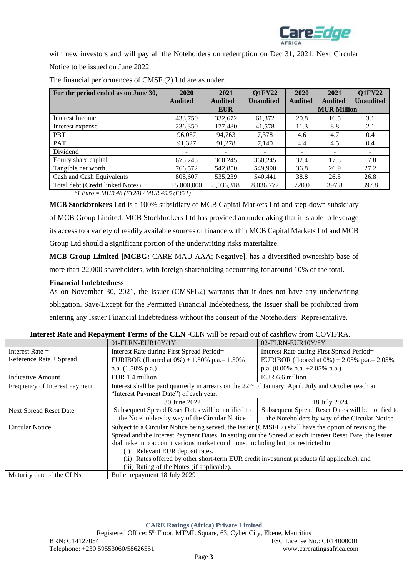

with new investors and will pay all the Noteholders on redemption on Dec 31, 2021. Next Circular Notice to be issued on June 2022.

| For the period ended as on June 30,         | 2020           | 2021           | <b>Q1FY22</b>      | 2020           | 2021           | <b>Q1FY22</b>    |
|---------------------------------------------|----------------|----------------|--------------------|----------------|----------------|------------------|
|                                             | <b>Audited</b> | <b>Audited</b> | <b>Unaudited</b>   | <b>Audited</b> | <b>Audited</b> | <b>Unaudited</b> |
|                                             | <b>EUR</b>     |                | <b>MUR Million</b> |                |                |                  |
| Interest Income                             | 433,750        | 332,672        | 61,372             | 20.8           | 16.5           | 3.1              |
| Interest expense                            | 236,350        | 177,480        | 41,578             | 11.3           | 8.8            | 2.1              |
| <b>PBT</b>                                  | 96,057         | 94,763         | 7,378              | 4.6            | 4.7            | 0.4              |
| <b>PAT</b>                                  | 91,327         | 91,278         | 7,140              | 4.4            | 4.5            | 0.4              |
| Dividend                                    |                |                |                    |                |                |                  |
| Equity share capital                        | 675,245        | 360,245        | 360,245            | 32.4           | 17.8           | 17.8             |
| Tangible net worth                          | 766,572        | 542,850        | 549,990            | 36.8           | 26.9           | 27.2             |
| Cash and Cash Equivalents                   | 808,607        | 535,239        | 540,441            | 38.8           | 26.5           | 26.8             |
| Total debt (Credit linked Notes)            | 15,000,000     | 8,036,318      | 8,036,772          | 720.0          | 397.8          | 397.8            |
| *1 $Func - MIR 48 (FY20) / MIR 49 5 (FY21)$ |                |                |                    |                |                |                  |

The financial performances of CMSF (2) Ltd are as under.

*\*1 Euro = MUR 48 (FY20) / MUR 49.5 (FY21)* 

**MCB Stockbrokers Ltd** is a 100% subsidiary of MCB Capital Markets Ltd and step-down subsidiary of MCB Group Limited. MCB Stockbrokers Ltd has provided an undertaking that it is able to leverage its access to a variety of readily available sources of finance within MCB Capital Markets Ltd and MCB Group Ltd should a significant portion of the underwriting risks materialize.

**MCB Group Limited [MCBG:** CARE MAU AAA; Negative], has a diversified ownership base of more than 22,000 shareholders, with foreign shareholding accounting for around 10% of the total.

# **Financial Indebtedness**

As on November 30, 2021, the Issuer (CMSFL2) warrants that it does not have any underwriting obligation. Save/Except for the Permitted Financial Indebtedness, the Issuer shall be prohibited from entering any Issuer Financial Indebtedness without the consent of the Noteholders' Representative.

|                               | 01-FLRN-EUR10Y/1Y                                                                                                | 02-FLRN-EUR10Y/5Y                                 |  |
|-------------------------------|------------------------------------------------------------------------------------------------------------------|---------------------------------------------------|--|
| Interest Rate $=$             | Interest Rate during First Spread Period=                                                                        | Interest Rate during First Spread Period=         |  |
| Reference Rate + Spread       | EURIBOR (floored at $0\%$ ) + 1.50% p.a.= 1.50%                                                                  | EURIBOR (floored at $0\%$ ) + 2.05% p.a.= 2.05%   |  |
|                               | p.a. $(1.50\% \text{ p.a.})$                                                                                     | p.a. $(0.00\%$ p.a. $+2.05\%$ p.a.)               |  |
| <b>Indicative Amount</b>      | EUR 1.4 million                                                                                                  | EUR 6.6 million                                   |  |
| Frequency of Interest Payment | Interest shall be paid quarterly in arrears on the 22 <sup>nd</sup> of January, April, July and October (each an |                                                   |  |
|                               | "Interest Payment Date") of each year.                                                                           |                                                   |  |
|                               | 30 June 2022                                                                                                     | 18 July 2024                                      |  |
| <b>Next Spread Reset Date</b> | Subsequent Spread Reset Dates will be notified to                                                                | Subsequent Spread Reset Dates will be notified to |  |
|                               | the Noteholders by way of the Circular Notice                                                                    | the Noteholders by way of the Circular Notice     |  |
| <b>Circular Notice</b>        | Subject to a Circular Notice being served, the Issuer (CMSFL2) shall have the option of revising the             |                                                   |  |
|                               | Spread and the Interest Payment Dates. In setting out the Spread at each Interest Reset Date, the Issuer         |                                                   |  |
|                               | shall take into account various market conditions, including but not restricted to                               |                                                   |  |
|                               | Relevant EUR deposit rates,<br>(i)                                                                               |                                                   |  |
|                               | Rates offered by other short-term EUR credit investment products (if applicable), and<br>(i)                     |                                                   |  |
|                               | (iii) Rating of the Notes (if applicable).                                                                       |                                                   |  |
| Maturity date of the CLNs     | Bullet repayment 18 July 2029                                                                                    |                                                   |  |

### **Interest Rate and Repayment Terms of the CLN -**CLN will be repaid out of cashflow from COVIFRA.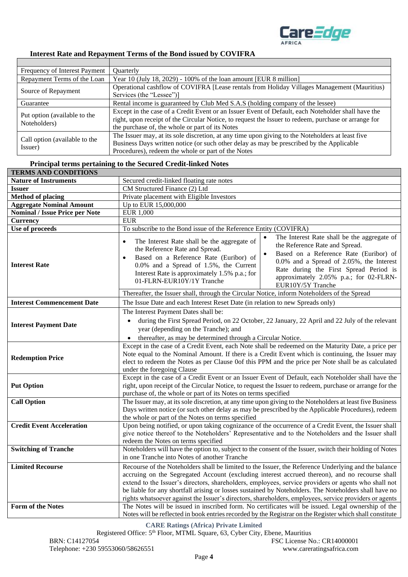

# **Interest Rate and Repayment Terms of the Bond issued by COVIFRA**

| Frequency of Interest Payment                | <b>Ouarterly</b>                                                                                     |
|----------------------------------------------|------------------------------------------------------------------------------------------------------|
| Repayment Terms of the Loan                  | Year 10 (July 18, 2029) - 100% of the loan amount [EUR $8$ million]                                  |
| Source of Repayment                          | Operational cashflow of COVIFRA [Lease rentals from Holiday Villages Management (Mauritius)          |
|                                              | Services (the "Lessee")]                                                                             |
| Guarantee                                    | Rental income is guaranteed by Club Med S.A.S (holding company of the lessee)                        |
| Put option (available to the<br>Noteholders) | Except in the case of a Credit Event or an Issuer Event of Default, each Noteholder shall have the   |
|                                              | right, upon receipt of the Circular Notice, to request the Issuer to redeem, purchase or arrange for |
|                                              | the purchase of, the whole or part of its Notes                                                      |
|                                              | The Issuer may, at its sole discretion, at any time upon giving to the Noteholders at least five     |
| Call option (available to the                | Business Days written notice (or such other delay as may be prescribed by the Applicable             |
| Issuer)                                      | Procedures), redeem the whole or part of the Notes                                                   |

#### **Principal terms pertaining to the Secured Credit-linked Notes**

| <b>TERMS AND CONDITIONS</b>           |                                                                                                                                                                                                                                                                                                                                                                                                                                                                                                                                                                                                                                             |  |  |
|---------------------------------------|---------------------------------------------------------------------------------------------------------------------------------------------------------------------------------------------------------------------------------------------------------------------------------------------------------------------------------------------------------------------------------------------------------------------------------------------------------------------------------------------------------------------------------------------------------------------------------------------------------------------------------------------|--|--|
| <b>Nature of Instruments</b>          | Secured credit-linked floating rate notes                                                                                                                                                                                                                                                                                                                                                                                                                                                                                                                                                                                                   |  |  |
| <b>Issuer</b>                         | CM Structured Finance (2) Ltd                                                                                                                                                                                                                                                                                                                                                                                                                                                                                                                                                                                                               |  |  |
| <b>Method of placing</b>              | Private placement with Eligible Investors                                                                                                                                                                                                                                                                                                                                                                                                                                                                                                                                                                                                   |  |  |
| <b>Aggregate Nominal Amount</b>       | Up to EUR 15,000,000                                                                                                                                                                                                                                                                                                                                                                                                                                                                                                                                                                                                                        |  |  |
| <b>Nominal / Issue Price per Note</b> | <b>EUR 1,000</b>                                                                                                                                                                                                                                                                                                                                                                                                                                                                                                                                                                                                                            |  |  |
| <b>Currency</b>                       | <b>EUR</b>                                                                                                                                                                                                                                                                                                                                                                                                                                                                                                                                                                                                                                  |  |  |
| Use of proceeds                       | To subscribe to the Bond issue of the Reference Entity (COVIFRA)                                                                                                                                                                                                                                                                                                                                                                                                                                                                                                                                                                            |  |  |
| <b>Interest Rate</b>                  | The Interest Rate shall be the aggregate of<br>The Interest Rate shall be the aggregate of<br>$\bullet$<br>the Reference Rate and Spread.<br>the Reference Rate and Spread.<br>Based on a Reference Rate (Euribor) of<br>Based on a Reference Rate (Euribor) of<br>0.0% and a Spread of 2.05%, the Interest<br>0.0% and a Spread of 1.5%, the Current<br>Rate during the First Spread Period is<br>Interest Rate is approximately 1.5% p.a.; for<br>approximately 2.05% p.a.; for 02-FLRN-<br>01-FLRN-EUR10Y/1Y Tranche<br>EUR10Y/5Y Tranche<br>Thereafter, the Issuer shall, through the Circular Notice, inform Noteholders of the Spread |  |  |
| <b>Interest Commencement Date</b>     | The Issue Date and each Interest Reset Date (in relation to new Spreads only)                                                                                                                                                                                                                                                                                                                                                                                                                                                                                                                                                               |  |  |
|                                       | The Interest Payment Dates shall be:                                                                                                                                                                                                                                                                                                                                                                                                                                                                                                                                                                                                        |  |  |
| <b>Interest Payment Date</b>          | during the First Spread Period, on 22 October, 22 January, 22 April and 22 July of the relevant<br>$\bullet$<br>year (depending on the Tranche); and<br>thereafter, as may be determined through a Circular Notice.<br>$\bullet$                                                                                                                                                                                                                                                                                                                                                                                                            |  |  |
| <b>Redemption Price</b>               | Except in the case of a Credit Event, each Note shall be redeemed on the Maturity Date, a price per<br>Note equal to the Nominal Amount. If there is a Credit Event which is continuing, the Issuer may<br>elect to redeem the Notes as per Clause 0of this PPM and the price per Note shall be as calculated<br>under the foregoing Clause                                                                                                                                                                                                                                                                                                 |  |  |
| <b>Put Option</b>                     | Except in the case of a Credit Event or an Issuer Event of Default, each Noteholder shall have the<br>right, upon receipt of the Circular Notice, to request the Issuer to redeem, purchase or arrange for the<br>purchase of, the whole or part of its Notes on terms specified                                                                                                                                                                                                                                                                                                                                                            |  |  |
| <b>Call Option</b>                    | The Issuer may, at its sole discretion, at any time upon giving to the Noteholders at least five Business<br>Days written notice (or such other delay as may be prescribed by the Applicable Procedures), redeem<br>the whole or part of the Notes on terms specified                                                                                                                                                                                                                                                                                                                                                                       |  |  |
| <b>Credit Event Acceleration</b>      | Upon being notified, or upon taking cognizance of the occurrence of a Credit Event, the Issuer shall<br>give notice thereof to the Noteholders' Representative and to the Noteholders and the Issuer shall<br>redeem the Notes on terms specified                                                                                                                                                                                                                                                                                                                                                                                           |  |  |
| <b>Switching of Tranche</b>           | Noteholders will have the option to, subject to the consent of the Issuer, switch their holding of Notes<br>in one Tranche into Notes of another Tranche                                                                                                                                                                                                                                                                                                                                                                                                                                                                                    |  |  |
| <b>Limited Recourse</b>               | Recourse of the Noteholders shall be limited to the Issuer, the Reference Underlying and the balance<br>accruing on the Segregated Account (excluding interest accrued thereon), and no recourse shall<br>extend to the Issuer's directors, shareholders, employees, service providers or agents who shall not<br>be liable for any shortfall arising or losses sustained by Noteholders. The Noteholders shall have no<br>rights whatsoever against the Issuer's directors, shareholders, employees, service providers or agents                                                                                                           |  |  |
| Form of the Notes                     | The Notes will be issued in inscribed form. No certificates will be issued. Legal ownership of the<br>Notes will be reflected in book entries recorded by the Registrar on the Register which shall constitute                                                                                                                                                                                                                                                                                                                                                                                                                              |  |  |

**CARE Ratings (Africa) Private Limited**

Registered Office: 5<sup>th</sup> Floor, MTML Square, 63, Cyber City, Ebene, Mauritius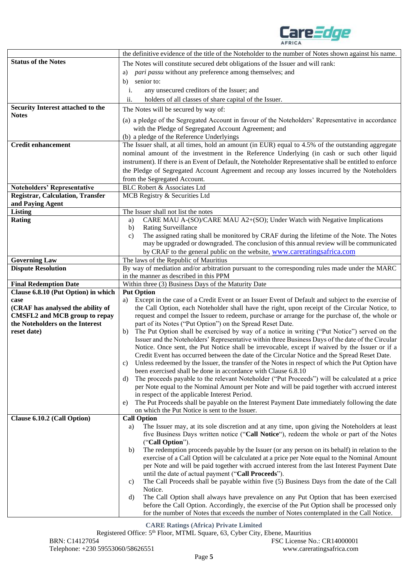

|                                         | the definitive evidence of the title of the Noteholder to the number of Notes shown against his name.                                                |  |
|-----------------------------------------|------------------------------------------------------------------------------------------------------------------------------------------------------|--|
| <b>Status of the Notes</b>              | The Notes will constitute secured debt obligations of the Issuer and will rank:                                                                      |  |
|                                         | pari passu without any preference among themselves; and<br>a)                                                                                        |  |
|                                         | senior to:<br>b)                                                                                                                                     |  |
|                                         | i.<br>any unsecured creditors of the Issuer; and                                                                                                     |  |
|                                         | ii.                                                                                                                                                  |  |
| Security Interest attached to the       | holders of all classes of share capital of the Issuer.                                                                                               |  |
| <b>Notes</b>                            | The Notes will be secured by way of:                                                                                                                 |  |
|                                         | (a) a pledge of the Segregated Account in favour of the Noteholders' Representative in accordance                                                    |  |
|                                         | with the Pledge of Segregated Account Agreement; and                                                                                                 |  |
|                                         | (b) a pledge of the Reference Underlyings                                                                                                            |  |
| <b>Credit enhancement</b>               | The Issuer shall, at all times, hold an amount (in EUR) equal to 4.5% of the outstanding aggregate                                                   |  |
|                                         | nominal amount of the investment in the Reference Underlying (in cash or such other liquid                                                           |  |
|                                         | instrument). If there is an Event of Default, the Noteholder Representative shall be entitled to enforce                                             |  |
|                                         | the Pledge of Segregated Account Agreement and recoup any losses incurred by the Noteholders                                                         |  |
|                                         | from the Segregated Account.                                                                                                                         |  |
| <b>Noteholders' Representative</b>      | <b>BLC Robert &amp; Associates Ltd</b>                                                                                                               |  |
| <b>Registrar, Calculation, Transfer</b> | MCB Registry & Securities Ltd                                                                                                                        |  |
| and Paying Agent                        |                                                                                                                                                      |  |
| <b>Listing</b>                          | The Issuer shall not list the notes                                                                                                                  |  |
| <b>Rating</b>                           | CARE MAU A-(SO)/CARE MAU A2+(SO); Under Watch with Negative Implications<br>a)                                                                       |  |
|                                         | <b>Rating Surveillance</b><br>b)                                                                                                                     |  |
|                                         | The assigned rating shall be monitored by CRAF during the lifetime of the Note. The Notes<br>c)                                                      |  |
|                                         | may be upgraded or downgraded. The conclusion of this annual review will be communicated                                                             |  |
|                                         | by CRAF to the general public on the website, www.careratingsafrica.com                                                                              |  |
| <b>Governing Law</b>                    | The laws of the Republic of Mauritius                                                                                                                |  |
| <b>Dispute Resolution</b>               | By way of mediation and/or arbitration pursuant to the corresponding rules made under the MARC<br>in the manner as described in this PPM             |  |
| <b>Final Redemption Date</b>            | Within three (3) Business Days of the Maturity Date                                                                                                  |  |
| Clause 6.8.10 (Put Option) in which     | <b>Put Option</b>                                                                                                                                    |  |
| case                                    | Except in the case of a Credit Event or an Issuer Event of Default and subject to the exercise of<br>a)                                              |  |
| (CRAF has analysed the ability of       | the Call Option, each Noteholder shall have the right, upon receipt of the Circular Notice, to                                                       |  |
| <b>CMSFL2 and MCB group to repay</b>    | request and compel the Issuer to redeem, purchase or arrange for the purchase of, the whole or                                                       |  |
| the Noteholders on the Interest         | part of its Notes ("Put Option") on the Spread Reset Date.                                                                                           |  |
| reset date)                             | The Put Option shall be exercised by way of a notice in writing ("Put Notice") served on the<br>b)                                                   |  |
|                                         | Issuer and the Noteholders' Representative within three Business Days of the date of the Circular                                                    |  |
|                                         | Notice. Once sent, the Put Notice shall be irrevocable, except if waived by the Issuer or if a                                                       |  |
|                                         | Credit Event has occurred between the date of the Circular Notice and the Spread Reset Date.                                                         |  |
|                                         | Unless redeemed by the Issuer, the transfer of the Notes in respect of which the Put Option have<br>C)                                               |  |
|                                         | been exercised shall be done in accordance with Clause 6.8.10                                                                                        |  |
|                                         | The proceeds payable to the relevant Noteholder ("Put Proceeds") will be calculated at a price<br>d)                                                 |  |
|                                         | per Note equal to the Nominal Amount per Note and will be paid together with accrued interest                                                        |  |
|                                         | in respect of the applicable Interest Period.<br>The Put Proceeds shall be payable on the Interest Payment Date immediately following the date<br>e) |  |
|                                         | on which the Put Notice is sent to the Issuer.                                                                                                       |  |
| Clause 6.10.2 (Call Option)             | <b>Call Option</b>                                                                                                                                   |  |
|                                         | The Issuer may, at its sole discretion and at any time, upon giving the Noteholders at least<br>a)                                                   |  |
|                                         | five Business Days written notice ("Call Notice"), redeem the whole or part of the Notes                                                             |  |
|                                         | ("Call Option").                                                                                                                                     |  |
|                                         | The redemption proceeds payable by the Issuer (or any person on its behalf) in relation to the<br>b)                                                 |  |
|                                         | exercise of a Call Option will be calculated at a price per Note equal to the Nominal Amount                                                         |  |
|                                         | per Note and will be paid together with accrued interest from the last Interest Payment Date                                                         |  |
|                                         | until the date of actual payment ("Call Proceeds").                                                                                                  |  |
|                                         | The Call Proceeds shall be payable within five (5) Business Days from the date of the Call<br>c)                                                     |  |
|                                         | Notice.                                                                                                                                              |  |
|                                         | The Call Option shall always have prevalence on any Put Option that has been exercised<br>d)                                                         |  |
|                                         | before the Call Option. Accordingly, the exercise of the Put Option shall be processed only                                                          |  |
|                                         | for the number of Notes that exceeds the number of Notes contemplated in the Call Notice.                                                            |  |

**CARE Ratings (Africa) Private Limited**

Registered Office: 5<sup>th</sup> Floor, MTML Square, 63, Cyber City, Ebene, Mauritius BRN: C14127054 FSC License No.: CR14000001 Telephone: +230 59553060/58626551 www.careratingsafrica.com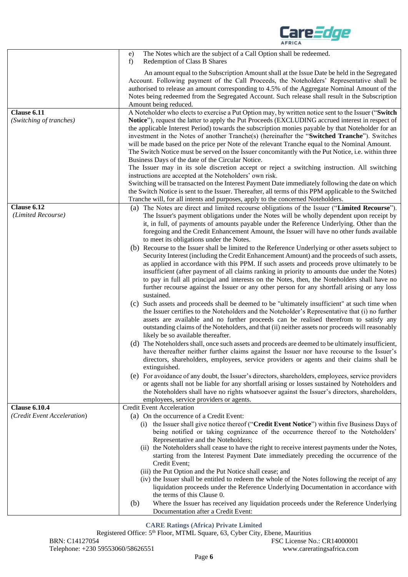|                                        | The Notes which are the subject of a Call Option shall be redeemed.<br>e)<br>Redemption of Class B Shares<br>f)                                                                                                                                                                                                                                                                                                                                                                                                                                                                                                                                                                   |
|----------------------------------------|-----------------------------------------------------------------------------------------------------------------------------------------------------------------------------------------------------------------------------------------------------------------------------------------------------------------------------------------------------------------------------------------------------------------------------------------------------------------------------------------------------------------------------------------------------------------------------------------------------------------------------------------------------------------------------------|
|                                        | An amount equal to the Subscription Amount shall at the Issue Date be held in the Segregated<br>Account. Following payment of the Call Proceeds, the Noteholders' Representative shall be<br>authorised to release an amount corresponding to 4.5% of the Aggregate Nominal Amount of the<br>Notes being redeemed from the Segregated Account. Such release shall result in the Subscription<br>Amount being reduced.                                                                                                                                                                                                                                                             |
| Clause 6.11<br>(Switching of tranches) | A Noteholder who elects to exercise a Put Option may, by written notice sent to the Issuer ("Switch<br><b>Notice</b> "), request the latter to apply the Put Proceeds (EXCLUDING accrued interest in respect of<br>the applicable Interest Period) towards the subscription monies payable by that Noteholder for an<br>investment in the Notes of another Tranche(s) (hereinafter the "Switched Tranche"). Switches<br>will be made based on the price per Note of the relevant Tranche equal to the Nominal Amount.<br>The Switch Notice must be served on the Issuer concomitantly with the Put Notice, i.e. within three<br>Business Days of the date of the Circular Notice. |
|                                        | The Issuer may in its sole discretion accept or reject a switching instruction. All switching<br>instructions are accepted at the Noteholders' own risk.<br>Switching will be transacted on the Interest Payment Date immediately following the date on which<br>the Switch Notice is sent to the Issuer. Thereafter, all terms of this PPM applicable to the Switched<br>Tranche will, for all intents and purposes, apply to the concerned Noteholders.                                                                                                                                                                                                                         |
| Clause 6.12<br>(Limited Recourse)      | (a) The Notes are direct and limited recourse obligations of the Issuer ("Limited Recourse").<br>The Issuer's payment obligations under the Notes will be wholly dependent upon receipt by<br>it, in full, of payments of amounts payable under the Reference Underlying. Other than the<br>foregoing and the Credit Enhancement Amount, the Issuer will have no other funds available<br>to meet its obligations under the Notes.                                                                                                                                                                                                                                                |
|                                        | (b) Recourse to the Issuer shall be limited to the Reference Underlying or other assets subject to<br>Security Interest (including the Credit Enhancement Amount) and the proceeds of such assets,<br>as applied in accordance with this PPM. If such assets and proceeds prove ultimately to be<br>insufficient (after payment of all claims ranking in priority to amounts due under the Notes)<br>to pay in full all principal and interests on the Notes, then, the Noteholders shall have no<br>further recourse against the Issuer or any other person for any shortfall arising or any loss<br>sustained.                                                                  |
|                                        | (c) Such assets and proceeds shall be deemed to be "ultimately insufficient" at such time when<br>the Issuer certifies to the Noteholders and the Noteholder's Representative that (i) no further<br>assets are available and no further proceeds can be realised therefrom to satisfy any<br>outstanding claims of the Noteholders, and that (ii) neither assets nor proceeds will reasonably<br>likely be so available thereafter.                                                                                                                                                                                                                                              |
|                                        | (d) The Noteholders shall, once such assets and proceeds are deemed to be ultimately insufficient,<br>have thereafter neither further claims against the Issuer nor have recourse to the Issuer's<br>directors, shareholders, employees, service providers or agents and their claims shall be<br>extinguished.                                                                                                                                                                                                                                                                                                                                                                   |
|                                        | (e) For avoidance of any doubt, the Issuer's directors, shareholders, employees, service providers<br>or agents shall not be liable for any shortfall arising or losses sustained by Noteholders and<br>the Noteholders shall have no rights whatsoever against the Issuer's directors, shareholders,<br>employees, service providers or agents.                                                                                                                                                                                                                                                                                                                                  |
| <b>Clause 6.10.4</b>                   | <b>Credit Event Acceleration</b>                                                                                                                                                                                                                                                                                                                                                                                                                                                                                                                                                                                                                                                  |
| (Credit Event Acceleration)            | (a) On the occurrence of a Credit Event:                                                                                                                                                                                                                                                                                                                                                                                                                                                                                                                                                                                                                                          |
|                                        | (i) the Issuer shall give notice thereof ("Credit Event Notice") within five Business Days of<br>being notified or taking cognizance of the occurrence thereof to the Noteholders'<br>Representative and the Noteholders;<br>(ii) the Noteholders shall cease to have the right to receive interest payments under the Notes,<br>starting from the Interest Payment Date immediately preceding the occurrence of the<br>Credit Event;                                                                                                                                                                                                                                             |
|                                        | (iii) the Put Option and the Put Notice shall cease; and<br>(iv) the Issuer shall be entitled to redeem the whole of the Notes following the receipt of any<br>liquidation proceeds under the Reference Underlying Documentation in accordance with<br>the terms of this Clause 0.                                                                                                                                                                                                                                                                                                                                                                                                |
|                                        | Where the Issuer has received any liquidation proceeds under the Reference Underlying<br>(b)<br>Documentation after a Credit Event:                                                                                                                                                                                                                                                                                                                                                                                                                                                                                                                                               |

Care*Edge* 

 $\overline{1}$ 

<span id="page-5-0"></span>**CARE Ratings (Africa) Private Limited**

Registered Office: 5<sup>th</sup> Floor, MTML Square, 63, Cyber City, Ebene, Mauritius BRN: C14127054 FSC License No.: CR14000001<br>Telephone: +230 59553060/58626551 www.careratingsafrica.com Telephone: +230 59553060/58626551